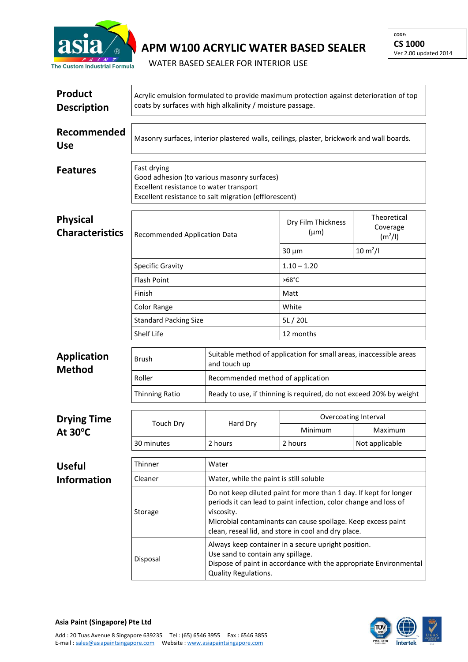

**APM W100 ACRYLIC WATER BASED SEALER**

WATER BASED SEALER FOR INTERIOR USE

| <b>Product</b><br><b>Description</b>      | Acrylic emulsion formulated to provide maximum protection against deterioration of top<br>coats by surfaces with high alkalinity / moisture passage.           |                                                                                                                                                                                       |                                                                                                                                                                                                                                                              |                                      |  |  |
|-------------------------------------------|----------------------------------------------------------------------------------------------------------------------------------------------------------------|---------------------------------------------------------------------------------------------------------------------------------------------------------------------------------------|--------------------------------------------------------------------------------------------------------------------------------------------------------------------------------------------------------------------------------------------------------------|--------------------------------------|--|--|
| Recommended<br><b>Use</b>                 | Masonry surfaces, interior plastered walls, ceilings, plaster, brickwork and wall boards.                                                                      |                                                                                                                                                                                       |                                                                                                                                                                                                                                                              |                                      |  |  |
| <b>Features</b>                           | Fast drying<br>Good adhesion (to various masonry surfaces)<br>Excellent resistance to water transport<br>Excellent resistance to salt migration (efflorescent) |                                                                                                                                                                                       |                                                                                                                                                                                                                                                              |                                      |  |  |
| <b>Physical</b><br><b>Characteristics</b> | <b>Recommended Application Data</b>                                                                                                                            |                                                                                                                                                                                       | Dry Film Thickness<br>$(\mu m)$                                                                                                                                                                                                                              | Theoretical<br>Coverage<br>$(m^2/l)$ |  |  |
|                                           |                                                                                                                                                                |                                                                                                                                                                                       | $30 \mu m$                                                                                                                                                                                                                                                   | $10 \, \text{m}^2$ /l                |  |  |
|                                           | <b>Specific Gravity</b>                                                                                                                                        |                                                                                                                                                                                       | $1.10 - 1.20$                                                                                                                                                                                                                                                |                                      |  |  |
|                                           | <b>Flash Point</b>                                                                                                                                             |                                                                                                                                                                                       | $>68^{\circ}$ C                                                                                                                                                                                                                                              |                                      |  |  |
|                                           | Finish                                                                                                                                                         |                                                                                                                                                                                       | Matt                                                                                                                                                                                                                                                         |                                      |  |  |
|                                           | Color Range                                                                                                                                                    |                                                                                                                                                                                       | White                                                                                                                                                                                                                                                        |                                      |  |  |
|                                           | <b>Standard Packing Size</b>                                                                                                                                   |                                                                                                                                                                                       | 5L/20L                                                                                                                                                                                                                                                       |                                      |  |  |
|                                           | Shelf Life                                                                                                                                                     |                                                                                                                                                                                       | 12 months                                                                                                                                                                                                                                                    |                                      |  |  |
| <b>Application</b><br><b>Method</b>       | <b>Brush</b>                                                                                                                                                   | Suitable method of application for small areas, inaccessible areas<br>and touch up                                                                                                    |                                                                                                                                                                                                                                                              |                                      |  |  |
|                                           | Roller                                                                                                                                                         | Recommended method of application                                                                                                                                                     |                                                                                                                                                                                                                                                              |                                      |  |  |
|                                           | <b>Thinning Ratio</b>                                                                                                                                          | Ready to use, if thinning is required, do not exceed 20% by weight                                                                                                                    |                                                                                                                                                                                                                                                              |                                      |  |  |
| <b>Drying Time</b>                        |                                                                                                                                                                |                                                                                                                                                                                       | <b>Overcoating Interval</b>                                                                                                                                                                                                                                  |                                      |  |  |
| At 30°C                                   | <b>Touch Dry</b>                                                                                                                                               | Hard Dry                                                                                                                                                                              | Minimum                                                                                                                                                                                                                                                      | Maximum                              |  |  |
|                                           | 30 minutes                                                                                                                                                     | 2 hours                                                                                                                                                                               | 2 hours                                                                                                                                                                                                                                                      | Not applicable                       |  |  |
| <b>Useful</b>                             | Thinner                                                                                                                                                        | Water                                                                                                                                                                                 |                                                                                                                                                                                                                                                              |                                      |  |  |
| <b>Information</b>                        | Cleaner                                                                                                                                                        | Water, while the paint is still soluble                                                                                                                                               |                                                                                                                                                                                                                                                              |                                      |  |  |
|                                           | Storage                                                                                                                                                        | viscosity.                                                                                                                                                                            | Do not keep diluted paint for more than 1 day. If kept for longer<br>periods it can lead to paint infection, color change and loss of<br>Microbial contaminants can cause spoilage. Keep excess paint<br>clean, reseal lid, and store in cool and dry place. |                                      |  |  |
|                                           | Disposal                                                                                                                                                       | Always keep container in a secure upright position.<br>Use sand to contain any spillage.<br>Dispose of paint in accordance with the appropriate Environmental<br>Quality Regulations. |                                                                                                                                                                                                                                                              |                                      |  |  |



**Asia Paint (Singapore) Pte Ltd**